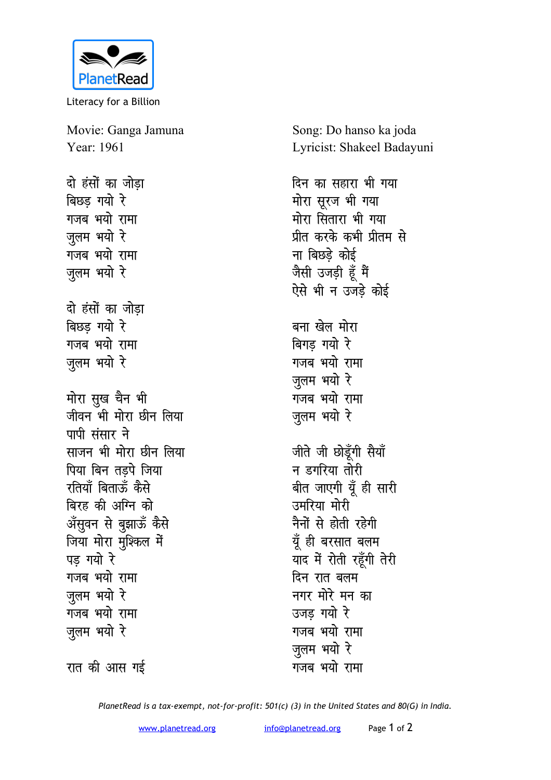

Literacy for a Billion

Movie: Ganga Jamuna Year: 1961

दो हंसों का जोडा बिछड गयो रे गजब भयो रामा जूलम भयो रे गजब भयो रामा ज़ुलम भयो रे दो हंसों का जोडा बिछड गयो रे गजब भयो रामा जुलम भयो रे मोरा सुख चैन भी जीवन भी मोरा छीन लिया पापी संसार ने साजन भी मोरा छीन लिया पिया बिन तडपे जिया रतियाँ बिताऊँ कैसे बिरह की अग्नि को अँसुवन से बुझाऊँ कैसे जिया मोरा मुश्किल में पड़ गयो रे गजब भयो रामा जलम भयो रे गजब भयो रामा ज़ूलम भयो रे

रात की आस गई

Song: Do hanso ka joda Lyricist: Shakeel Badayuni

दिन का सहारा भी गया मोरा सूरज भी गया मोरा सितारा भी गया प्रीत करके कभी प्रीतम से ना बिछडे कोई जैसी उजड़ी हूँ मैं ऐसे भी न उजड़े कोई बना खेल मोरा बिगड गयो रे गजब भयो रामा जलम भयो रे गजब भयो रामा जुलम भयो रे जीते जी छोड़ँगी सैयाँ न डगरिया तोरी बीत जाएगी यूँ ही सारी उमरिया मोरी नैनों से होती रहेगी यूँ ही बरसात बलम याद में रोती रहूँगी तेरी दिन रात बलम नगर मोरे मन का उजड गयो रे गजब भयो रामा ज़ूलम भयो रे गजब भयो रामा

PlanetRead is a tax-exempt, not-for-profit: 501(c) (3) in the United States and 80(G) in India.